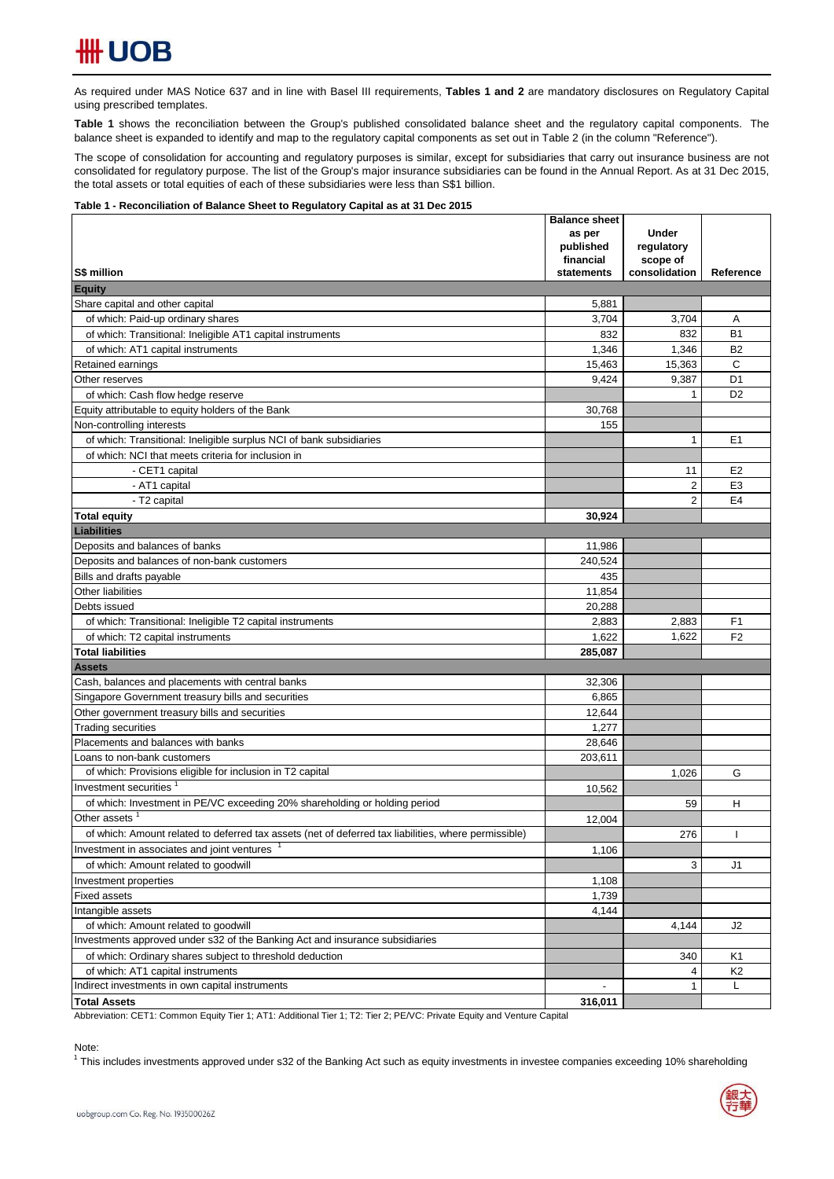As required under MAS Notice 637 and in line with Basel III requirements, Tables 1 and 2 are mandatory disclosures on Regulatory Capital using prescribed templates.

**Table 1** shows the reconciliation between the Group's published consolidated balance sheet and the regulatory capital components. The balance sheet is expanded to identify and map to the regulatory capital components as set out in Table 2 (in the column "Reference").

The scope of consolidation for accounting and regulatory purposes is similar, except for subsidiaries that carry out insurance business are not consolidated for regulatory purpose. The list of the Group's major insurance subsidiaries can be found in the Annual Report. As at 31 Dec 2015, the total assets or total equities of each of these subsidiaries were less than S\$1 billion.

### **Table 1 - Reconciliation of Balance Sheet to Regulatory Capital as at 31 Dec 2015**

|                                                                                                      | <b>Balance sheet</b> | <b>Under</b>   |                |
|------------------------------------------------------------------------------------------------------|----------------------|----------------|----------------|
|                                                                                                      | as per<br>published  | regulatory     |                |
|                                                                                                      | financial            | scope of       |                |
| S\$ million                                                                                          | statements           | consolidation  | Reference      |
| <b>Equity</b>                                                                                        |                      |                |                |
| Share capital and other capital                                                                      | 5,881                |                |                |
| of which: Paid-up ordinary shares                                                                    | 3,704                | 3,704          | Α              |
| of which: Transitional: Ineligible AT1 capital instruments                                           | 832                  | 832            | <b>B1</b>      |
| of which: AT1 capital instruments                                                                    | 1,346                | 1,346          | <b>B2</b>      |
| Retained earnings                                                                                    | 15,463               | 15,363         | C              |
| Other reserves                                                                                       | 9,424                | 9,387          | D <sub>1</sub> |
| of which: Cash flow hedge reserve                                                                    |                      | 1              | D <sub>2</sub> |
| Equity attributable to equity holders of the Bank                                                    | 30,768               |                |                |
| Non-controlling interests                                                                            | 155                  |                |                |
| of which: Transitional: Ineligible surplus NCI of bank subsidiaries                                  |                      | $\mathbf{1}$   | E1             |
| of which: NCI that meets criteria for inclusion in                                                   |                      |                |                |
| - CET1 capital                                                                                       |                      | 11             | E <sub>2</sub> |
| - AT1 capital                                                                                        |                      | $\overline{2}$ | E <sub>3</sub> |
| - T2 capital                                                                                         |                      | $\overline{2}$ | E <sub>4</sub> |
| <b>Total equity</b>                                                                                  | 30,924               |                |                |
| <b>Liabilities</b>                                                                                   |                      |                |                |
| Deposits and balances of banks                                                                       | 11,986               |                |                |
| Deposits and balances of non-bank customers                                                          | 240,524              |                |                |
| Bills and drafts payable                                                                             | 435                  |                |                |
| Other liabilities                                                                                    | 11,854               |                |                |
| Debts issued                                                                                         | 20,288               |                |                |
| of which: Transitional: Ineligible T2 capital instruments                                            | 2,883                | 2,883          | F <sub>1</sub> |
| of which: T2 capital instruments                                                                     | 1,622                | 1,622          | F <sub>2</sub> |
| <b>Total liabilities</b>                                                                             | 285,087              |                |                |
| <b>Assets</b>                                                                                        |                      |                |                |
| Cash, balances and placements with central banks                                                     | 32,306               |                |                |
| Singapore Government treasury bills and securities                                                   | 6,865                |                |                |
| Other government treasury bills and securities                                                       | 12,644               |                |                |
| <b>Trading securities</b>                                                                            | 1,277                |                |                |
| Placements and balances with banks                                                                   | 28,646               |                |                |
| Loans to non-bank customers                                                                          | 203,611              |                |                |
| of which: Provisions eligible for inclusion in T2 capital                                            |                      | 1,026          | G              |
| Investment securities                                                                                | 10,562               |                |                |
| of which: Investment in PE/VC exceeding 20% shareholding or holding period                           |                      | 59             | н              |
| Other assets                                                                                         | 12,004               |                |                |
| of which: Amount related to deferred tax assets (net of deferred tax liabilities, where permissible) |                      | 276            |                |
| Investment in associates and joint ventures                                                          | 1,106                |                |                |
| of which: Amount related to goodwill                                                                 |                      | 3              | J1             |
| Investment properties                                                                                | 1,108                |                |                |
| <b>Fixed assets</b>                                                                                  | 1,739                |                |                |
| Intangible assets                                                                                    | 4,144                |                |                |
| of which: Amount related to goodwill                                                                 |                      | 4,144          | J2             |
| Investments approved under s32 of the Banking Act and insurance subsidiaries                         |                      |                |                |
| of which: Ordinary shares subject to threshold deduction                                             |                      | 340            | K1             |
| of which: AT1 capital instruments                                                                    |                      | 4              | K <sub>2</sub> |
| Indirect investments in own capital instruments                                                      |                      | 1              | L              |
| <b>Total Assets</b>                                                                                  | 316,011              |                |                |

Abbreviation: CET1: Common Equity Tier 1; AT1: Additional Tier 1; T2: Tier 2; PE/VC: Private Equity and Venture Capital

Note:

<sup>1</sup> This includes investments approved under s32 of the Banking Act such as equity investments in investee companies exceeding 10% shareholding

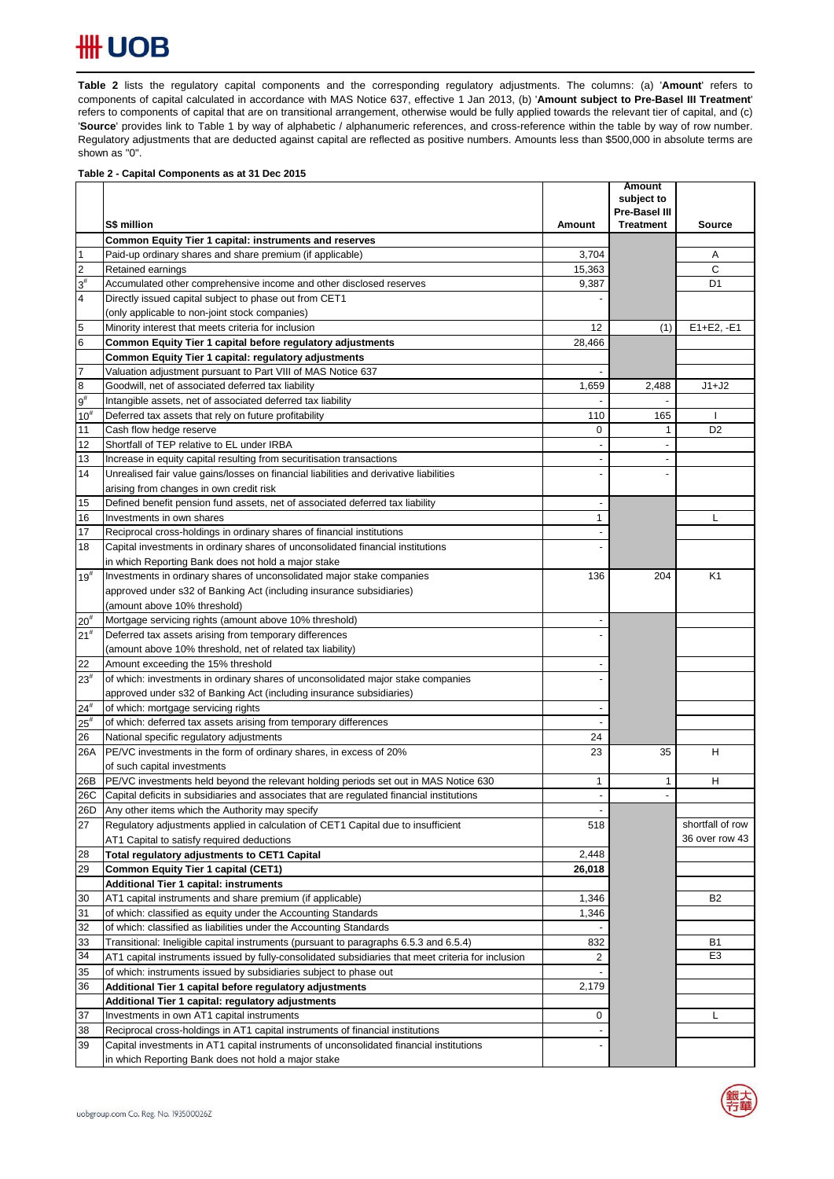# **HH UOB**

Table 2 lists the regulatory capital components and the corresponding regulatory adjustments. The columns: (a) 'Amount' refers to components of capital calculated in accordance with MAS Notice 637, effective 1 Jan 2013, (b) '**Amount subject to Pre-Basel III Treatment**' refers to components of capital that are on transitional arrangement, otherwise would be fully applied towards the relevant tier of capital, and (c) '**Source**' provides link to Table 1 by way of alphabetic / alphanumeric references, and cross-reference within the table by way of row number. Regulatory adjustments that are deducted against capital are reflected as positive numbers. Amounts less than \$500,000 in absolute terms are shown as "0".

### **Table 2 - Capital Components as at 31 Dec 2015**

|                         |                                                                                                                |                          | <b>Amount</b><br>subject to |                  |
|-------------------------|----------------------------------------------------------------------------------------------------------------|--------------------------|-----------------------------|------------------|
|                         |                                                                                                                |                          | Pre-Basel III               |                  |
|                         | S\$ million                                                                                                    | Amount                   | <b>Treatment</b>            | Source           |
|                         | Common Equity Tier 1 capital: instruments and reserves                                                         |                          |                             |                  |
| $\vert$ 1               | Paid-up ordinary shares and share premium (if applicable)                                                      | 3,704                    |                             | Α                |
| $\overline{2}$          | Retained earnings                                                                                              | 15,363                   |                             | С                |
| $3^{\sharp}$            | Accumulated other comprehensive income and other disclosed reserves                                            | 9,387                    |                             | D <sub>1</sub>   |
| $\overline{\mathbf{4}}$ | Directly issued capital subject to phase out from CET1                                                         |                          |                             |                  |
|                         | (only applicable to non-joint stock companies)                                                                 |                          |                             |                  |
| 5                       | Minority interest that meets criteria for inclusion                                                            | 12                       | (1)                         | $E1 + E2, -E1$   |
| $6\phantom{.}6$         | Common Equity Tier 1 capital before regulatory adjustments                                                     | 28,466                   |                             |                  |
|                         | Common Equity Tier 1 capital: regulatory adjustments                                                           |                          |                             |                  |
| $\overline{7}$          | Valuation adjustment pursuant to Part VIII of MAS Notice 637                                                   | $\blacksquare$           |                             |                  |
| $\bf{8}$                | Goodwill, net of associated deferred tax liability                                                             | 1,659                    | 2,488                       | $J1+J2$          |
| $9^{\sharp}$            | Intangible assets, net of associated deferred tax liability                                                    |                          | $\overline{\phantom{a}}$    |                  |
| $10^{#}$                | Deferred tax assets that rely on future profitability                                                          | 110                      | 165                         |                  |
| 11                      | Cash flow hedge reserve                                                                                        | 0                        | 1                           | D <sub>2</sub>   |
| 12                      | Shortfall of TEP relative to EL under IRBA                                                                     |                          |                             |                  |
| 13                      | Increase in equity capital resulting from securitisation transactions                                          |                          |                             |                  |
| 14                      | Unrealised fair value gains/losses on financial liabilities and derivative liabilities                         |                          |                             |                  |
|                         | arising from changes in own credit risk                                                                        |                          |                             |                  |
| 15                      | Defined benefit pension fund assets, net of associated deferred tax liability                                  |                          |                             |                  |
| 16                      | Investments in own shares                                                                                      | $\mathbf{1}$             |                             | L                |
| 17                      | Reciprocal cross-holdings in ordinary shares of financial institutions                                         |                          |                             |                  |
| 18                      | Capital investments in ordinary shares of unconsolidated financial institutions                                |                          |                             |                  |
|                         | in which Reporting Bank does not hold a major stake                                                            |                          |                             |                  |
| $19^{#}$                | Investments in ordinary shares of unconsolidated major stake companies                                         | 136                      | 204                         | K <sub>1</sub>   |
|                         | approved under s32 of Banking Act (including insurance subsidiaries)                                           |                          |                             |                  |
|                         | (amount above 10% threshold)                                                                                   |                          |                             |                  |
| $20^{#}$                | Mortgage servicing rights (amount above 10% threshold)                                                         |                          |                             |                  |
| 21 <sup>#</sup>         | Deferred tax assets arising from temporary differences                                                         |                          |                             |                  |
|                         | (amount above 10% threshold, net of related tax liability)                                                     |                          |                             |                  |
| 22                      | Amount exceeding the 15% threshold                                                                             |                          |                             |                  |
| $23^{#}$                | of which: investments in ordinary shares of unconsolidated major stake companies                               |                          |                             |                  |
|                         | approved under s32 of Banking Act (including insurance subsidiaries)                                           |                          |                             |                  |
| $24^{#}$                | of which: mortgage servicing rights                                                                            | $\overline{\phantom{a}}$ |                             |                  |
| $25^{\rm #}$            | of which: deferred tax assets arising from temporary differences                                               | 24                       |                             |                  |
| 26<br>26A               | National specific regulatory adjustments<br>PE/VC investments in the form of ordinary shares, in excess of 20% | 23                       | 35                          | н                |
|                         | of such capital investments                                                                                    |                          |                             |                  |
| 26B                     | PE/VC investments held beyond the relevant holding periods set out in MAS Notice 630                           | 1                        | 1                           | н                |
| 26C                     | Capital deficits in subsidiaries and associates that are regulated financial institutions                      |                          |                             |                  |
|                         | 26D Any other items which the Authority may specify                                                            |                          |                             |                  |
| 27                      | Regulatory adjustments applied in calculation of CET1 Capital due to insufficient                              | 518                      |                             | shortfall of row |
|                         | AT1 Capital to satisfy required deductions                                                                     |                          |                             | 36 over row 43   |
| 28                      | Total regulatory adjustments to CET1 Capital                                                                   | 2,448                    |                             |                  |
| 29                      | <b>Common Equity Tier 1 capital (CET1)</b>                                                                     | 26,018                   |                             |                  |
|                         | <b>Additional Tier 1 capital: instruments</b>                                                                  |                          |                             |                  |
| 30                      | AT1 capital instruments and share premium (if applicable)                                                      | 1,346                    |                             | B <sub>2</sub>   |
| 31                      | of which: classified as equity under the Accounting Standards                                                  | 1,346                    |                             |                  |
| 32                      | of which: classified as liabilities under the Accounting Standards                                             |                          |                             |                  |
| 33                      | Transitional: Ineligible capital instruments (pursuant to paragraphs 6.5.3 and 6.5.4)                          | 832                      |                             | <b>B1</b>        |
| 34                      | AT1 capital instruments issued by fully-consolidated subsidiaries that meet criteria for inclusion             | 2                        |                             | E <sub>3</sub>   |
| 35                      | of which: instruments issued by subsidiaries subject to phase out                                              |                          |                             |                  |
| 36                      | Additional Tier 1 capital before regulatory adjustments                                                        | 2,179                    |                             |                  |
|                         | Additional Tier 1 capital: regulatory adjustments                                                              |                          |                             |                  |
| 37                      | Investments in own AT1 capital instruments                                                                     | 0                        |                             | L                |
| 38                      | Reciprocal cross-holdings in AT1 capital instruments of financial institutions                                 |                          |                             |                  |
| 39                      | Capital investments in AT1 capital instruments of unconsolidated financial institutions                        |                          |                             |                  |
|                         | in which Reporting Bank does not hold a major stake                                                            |                          |                             |                  |

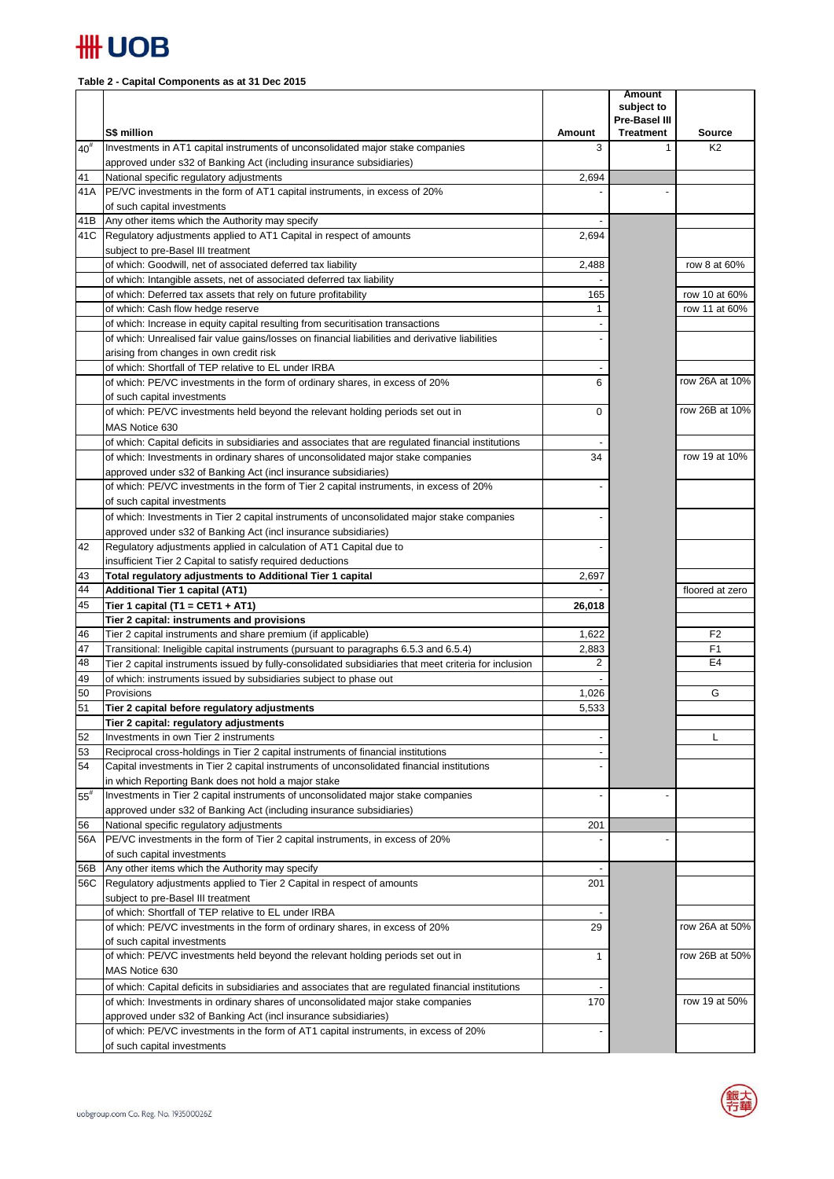

## **Table 2 - Capital Components as at 31 Dec 2015**

|              | S\$ million                                                                                                                                                                         |             | <b>Amount</b><br>subject to<br>Pre-Basel III<br><b>Treatment</b> | <b>Source</b>        |
|--------------|-------------------------------------------------------------------------------------------------------------------------------------------------------------------------------------|-------------|------------------------------------------------------------------|----------------------|
| $40^{#}$     | Investments in AT1 capital instruments of unconsolidated major stake companies                                                                                                      | Amount<br>3 | $\mathbf{1}$                                                     | K <sub>2</sub>       |
|              | approved under s32 of Banking Act (including insurance subsidiaries)                                                                                                                |             |                                                                  |                      |
| 41           | National specific regulatory adjustments                                                                                                                                            | 2,694       |                                                                  |                      |
| 41 A         | PE/VC investments in the form of AT1 capital instruments, in excess of 20%                                                                                                          |             |                                                                  |                      |
|              | of such capital investments                                                                                                                                                         |             |                                                                  |                      |
| 41B          | Any other items which the Authority may specify                                                                                                                                     |             |                                                                  |                      |
|              | 41C Regulatory adjustments applied to AT1 Capital in respect of amounts                                                                                                             | 2,694       |                                                                  |                      |
|              | subject to pre-Basel III treatment                                                                                                                                                  |             |                                                                  |                      |
|              | of which: Goodwill, net of associated deferred tax liability                                                                                                                        | 2,488       |                                                                  | row 8 at 60%         |
|              | of which: Intangible assets, net of associated deferred tax liability                                                                                                               |             |                                                                  |                      |
|              | of which: Deferred tax assets that rely on future profitability                                                                                                                     | 165         |                                                                  | row 10 at 60%        |
|              | of which: Cash flow hedge reserve                                                                                                                                                   | 1           |                                                                  | row 11 at 60%        |
|              | of which: Increase in equity capital resulting from securitisation transactions<br>of which: Unrealised fair value gains/losses on financial liabilities and derivative liabilities |             |                                                                  |                      |
|              | arising from changes in own credit risk                                                                                                                                             |             |                                                                  |                      |
|              | of which: Shortfall of TEP relative to EL under IRBA                                                                                                                                |             |                                                                  |                      |
|              | of which: PE/VC investments in the form of ordinary shares, in excess of 20%                                                                                                        | 6           |                                                                  | row 26A at 10%       |
|              | of such capital investments                                                                                                                                                         |             |                                                                  |                      |
|              | of which: PE/VC investments held beyond the relevant holding periods set out in                                                                                                     | 0           |                                                                  | row 26B at 10%       |
|              | MAS Notice 630                                                                                                                                                                      |             |                                                                  |                      |
|              | of which: Capital deficits in subsidiaries and associates that are regulated financial institutions                                                                                 |             |                                                                  |                      |
|              | of which: Investments in ordinary shares of unconsolidated major stake companies                                                                                                    | 34          |                                                                  | row 19 at 10%        |
|              | approved under s32 of Banking Act (incl insurance subsidiaries)                                                                                                                     |             |                                                                  |                      |
|              | of which: PE/VC investments in the form of Tier 2 capital instruments, in excess of 20%                                                                                             |             |                                                                  |                      |
|              | of such capital investments                                                                                                                                                         |             |                                                                  |                      |
|              | of which: Investments in Tier 2 capital instruments of unconsolidated major stake companies                                                                                         |             |                                                                  |                      |
|              | approved under s32 of Banking Act (incl insurance subsidiaries)                                                                                                                     |             |                                                                  |                      |
| 42           | Regulatory adjustments applied in calculation of AT1 Capital due to                                                                                                                 |             |                                                                  |                      |
|              | insufficient Tier 2 Capital to satisfy required deductions                                                                                                                          |             |                                                                  |                      |
| 43           | Total regulatory adjustments to Additional Tier 1 capital                                                                                                                           | 2,697       |                                                                  |                      |
| 44           | <b>Additional Tier 1 capital (AT1)</b>                                                                                                                                              |             |                                                                  | floored at zero      |
| 45           | Tier 1 capital (T1 = CET1 + AT1)                                                                                                                                                    | 26,018      |                                                                  |                      |
|              | Tier 2 capital: instruments and provisions                                                                                                                                          |             |                                                                  |                      |
| 46           | Tier 2 capital instruments and share premium (if applicable)                                                                                                                        | 1,622       |                                                                  | F <sub>2</sub>       |
| 47<br>48     | Transitional: Ineligible capital instruments (pursuant to paragraphs 6.5.3 and 6.5.4)                                                                                               | 2,883<br>2  |                                                                  | F1<br>E <sub>4</sub> |
| 49           | Tier 2 capital instruments issued by fully-consolidated subsidiaries that meet criteria for inclusion<br>of which: instruments issued by subsidiaries subject to phase out          |             |                                                                  |                      |
| 50           | Provisions                                                                                                                                                                          | 1,026       |                                                                  | G                    |
| 51           | Tier 2 capital before regulatory adjustments                                                                                                                                        | 5,533       |                                                                  |                      |
|              | Tier 2 capital: regulatory adjustments                                                                                                                                              |             |                                                                  |                      |
| 52           | Investments in own Tier 2 instruments                                                                                                                                               |             |                                                                  | L                    |
| 53           | Reciprocal cross-holdings in Tier 2 capital instruments of financial institutions                                                                                                   |             |                                                                  |                      |
| 54           | Capital investments in Tier 2 capital instruments of unconsolidated financial institutions                                                                                          |             |                                                                  |                      |
|              | in which Reporting Bank does not hold a major stake                                                                                                                                 |             |                                                                  |                      |
| $55^{\rm #}$ | Investments in Tier 2 capital instruments of unconsolidated major stake companies                                                                                                   |             |                                                                  |                      |
|              | approved under s32 of Banking Act (including insurance subsidiaries)                                                                                                                |             |                                                                  |                      |
| 56           | National specific regulatory adjustments                                                                                                                                            | 201         |                                                                  |                      |
| 56A          | PE/VC investments in the form of Tier 2 capital instruments, in excess of 20%                                                                                                       |             |                                                                  |                      |
|              | of such capital investments                                                                                                                                                         |             |                                                                  |                      |
| 56B          | Any other items which the Authority may specify                                                                                                                                     |             |                                                                  |                      |
| 56C          | Regulatory adjustments applied to Tier 2 Capital in respect of amounts                                                                                                              | 201         |                                                                  |                      |
|              | subject to pre-Basel III treatment                                                                                                                                                  |             |                                                                  |                      |
|              | of which: Shortfall of TEP relative to EL under IRBA                                                                                                                                |             |                                                                  | row 26A at 50%       |
|              | of which: PE/VC investments in the form of ordinary shares, in excess of 20%<br>of such capital investments                                                                         | 29          |                                                                  |                      |
|              | of which: PE/VC investments held beyond the relevant holding periods set out in                                                                                                     | 1           |                                                                  | row 26B at 50%       |
|              | MAS Notice 630                                                                                                                                                                      |             |                                                                  |                      |
|              | of which: Capital deficits in subsidiaries and associates that are regulated financial institutions                                                                                 |             |                                                                  |                      |
|              | of which: Investments in ordinary shares of unconsolidated major stake companies                                                                                                    | 170         |                                                                  | row 19 at 50%        |
|              | approved under s32 of Banking Act (incl insurance subsidiaries)                                                                                                                     |             |                                                                  |                      |
|              | of which: PE/VC investments in the form of AT1 capital instruments, in excess of 20%                                                                                                |             |                                                                  |                      |
|              | of such capital investments                                                                                                                                                         |             |                                                                  |                      |